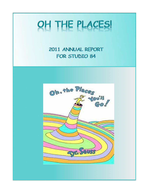# OH THE PLACES!

# 2011 ANNUAL REPORT FOR STUDIO 84

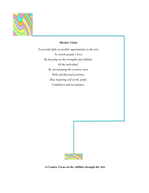

#### *Mission Vision*

*To provide fully accessible opportunities in the arts To enrich people's lives By focusing on the strengths and abilities Of the individual, By encouraging the creative voice With self directed activities, Thus inspiring self worth, pride, Confidence and acceptance.* 



*A Creative Focus on the Abilities through the Arts*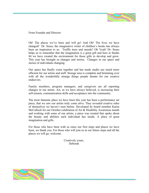

From Founder and Director

Oh! The places we've been and will go! And Oh! The lives we have changed! Dr. Seuss, the imaginative writer of children's books has always been an inspiration to us. Truffle trees and sneeds? Oh Yeah! Dr. Seuss helps us to remember that the imagination is a great gift and here at Studio 84 we have created the environment for those gifts to develop and grow. This year has brought us changes and stories. Changes in our space and stories of individuals changing.

Our space has finally come together and has made studio use much more efficient for our artists and staff. Storage area is complete and brimming over with all the wonderfully strange things people donate for our creative endeavors.

Family members, program managers, and caregivers are all reporting changes in our artists. Art, as we have always believed, is increasing their self-esteem, communication skills and acceptance into the community.

The most fantastic place we have been this year has been a performance art piece, that we saw our artists truly come alive. They revealed creative sides of themselves we haven't seen before. Developed by board member Karen McCulloch for our October celebration of Art & Disability Awareness month and working with some of our artists, a piece was created that spoke about the beauty and abilities each individual has inside. A place of great imagination and gifts.

For those who have been with us since our first steps and places we have been, we thank you. For those who will join us in our future steps and all the places we will go, welcome.

> Creatively yours, Deborah

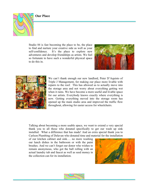**Our Place** 



Studio 84 is fast becoming the place to be, the place to find and nurture your creative side as well as your self-confidence. It's the place to explore new adventures and develop friendships as artists. We feel so fortunate to have such a wonderful physical space to do this in.





We can't thank enough our new landlord, Peter D'Aquisto of Triple J Management, for making our place more livable with repairs to the roof. This has allowed us to actually move into the storage area and not worry about everything getting wet when it rains. We have become a more useful and livable space for our artists. Everybody knows exactly where everything is now. Getting everything moved into the storage room has opened up the main studio area and improved the traffic flow throughout, allowing for easier access for wheelchairs.

Talking about becoming a more usable space, we want to extend a very special thank you to all those who donated specifically to get our wash up sink installed. What a difference that has made! And an extra special thank you to Carlson Plumbing of Delavan who donated time and material for the installation

of our kitchen cabinet and sink…. no more washing our lunch dishes in the bathroom or with the paint brushes. And we can't forget our donor who wishes to remain anonymous, who got the ball rolling with an actual laundry tub and faucet as well as seed money in the collection can for its installation.



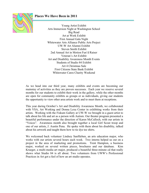### **Places We Have Been in 2011**



Young Artist Exhibit Arts Immersion Night at Washington School Big Read Art at Work Exhibit First Annual Gala Night Whitewater Arts Alliance Public Arts Project UW-W Art Alumni Exhibit Steven Smith Exhibit 2nd Annual Art in Motion Fun'd Raiser Veteran's Art Exhibit Art and Disability Awareness Month Events Students of Studio 84 Exhibit Art 4 Christmas Sale First Citizens State Bank Exhibit Whitewater Cares Charity Weekend

As we head into our third year, many exhibits and events are becoming our mainstay of activities as they are proven successes. Each year we reserve several months for our students to exhibit their work in the gallery, while the other months are open for community exhibits as groups or as individuals, giving our students the opportunity to view other area artists work and to meet them at receptions.

This year during October's Art and Disability Awareness Month, we collaborated with VSA, Art Working and Donna Lexa Center in exhibiting works from their artists. Working with the Fiskum Gallery at UW-W we brought in a guest artist to talk about his life and art as a person with Autism. Our theater program presented a beautiful performance under the direction of Karen McCulloch, with our artists in "Voices". Awareness month also brought together a local Girl Scout troop and one of our artists, J. Austin Pena. He spoke with them about his disability, talked about his artwork and taught them how to tie dye tee shirts.

We welcomed back volunteer Lindsey Sanftleben, an arts education major, who works with our artists several hours each week. Two interns helped us out on a project in the area of marketing and promotions. Trent Hampton, a business major, worked on several written pieces, brochures and our database. Kim Krueger, a multi-media art major, produced a beautiful three-minute cd that really shows what Studio 84 is all about. Two volunteers from UWW's Professional Practices in Art got a feel of how an art studio operates.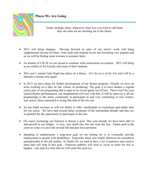

Goals, strategic plans, objectives what ever you want to call them, they are what we are shooting for in the future.

- 2012 will bring changes. Moving forward in sales of our artists' work will bring supplemental income for them. Note cards and original art are fast becoming very popular and so we will be finding more avenues to promote them.
- As alumni of UW-W we are proud to continue with connections on campus. 2012 will bring us an exhibit of Art Faculty and some of their students.
- This year's annual Gala Night has taken on a theme…*For the Love of the Arts* and will be a fantastic evening once again.
- In 2012 we have plans for further development of our theater program. Already we have an artist working on a play he has visions of producing. The goal is to have theater a regular yearly part of our programing that is open to an Avant-garde sort of feel. These won't be your typical theater performances; our imaginations will soar with this. It will be open (as is all our programing) to the entire community to participate in and very welcoming to new writers, new actors, those interested in trying this side of the arts out.
- As our funds increase so will our ability to offer scholarships to workshops and studio time for our artists. We have had several lucky recipients of the scholarship already and they are so grateful for the opportunity to participate in the arts.
- Of course increasing our finances is always a goal. This year already we have been able to add payroll to our budget. A very, very small one, but one none the less. Future goal in the years to come is to provide several full and part time positions.
- Speaking of employment, a long-term goal we are aiming for is to eventually provide employment to people with disabilities. Especially those who might otherwise be considered unemployable in the job market. At Studio 84, we tend to have a lot of patience and creative ideas that will help in this goal. Financial stability will need to occur in order for this to happen—one step at a time and we will reach this goal too.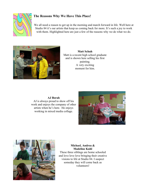

# **The Reasons Why We Have This Place!**

We all need a reason to get up in the morning and march forward in life. Well here at Studio 84 it's our artists that keep us coming back for more. It's such a joy to work with them. Highlighted here are just a few of the reasons why we do what we do.



**Matt Schuh**  Matt is a recent high school graduate and is shown here selling his first painting. A very exciting moment for him.

**AJ Borah**  AJ is always proud to show off his work and enjoys the company of other artists when he's here. He enjoys working in mixed media collage.





**Michael, Andrea & Madeline Kuhl**  These three siblings are home schooled and love love love bringing their creative visions to life at Studio 84. I suspect someday they will come back as volunteers!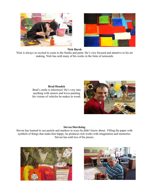



#### **Nick Bursh**

Nick is always so excited to come to the Studio and paint. He's very focused and attentive to his art making. Nick has sold many of his works in the form of notecards

#### **Brad Houdek**

Brad's smile is infectious! He's very into anything with motors and loves painting his visions of vehicles he makes in wood.



#### **Steven Durchslag**

Steven has learned to use pastels and markers in ways he didn't know about. Filling the paper with symbols of things that make him happy, he produces rich works with imagination and memories. Steven has sold two of his pieces.



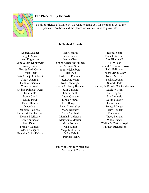

#### **The Place of Big Friends**

To all of Friends of Studio 84, we want to thank you for helping us get to the places we've been and the places we will continue to grow into.

#### **Individual Friends**

Andrea Musher Angela Myrin Ann Engleman Anne & Jim Klinkowitz Anonymous Bob & Barb Grant Brian Beck Chris & Deji Akinlosotu Cindy Glazman Connie Wiersma Corey Schojoth Cydnie Palbicky-Pena Dan Sable Dante Conti David Pawl Dawn Hunter Dawn Kist Deborah Blackwell Dennis & Debbie Lee Dennis McEssey Erin Amundson Erin Diercx Frank J. Ludicky Gloria Vasquez Graceila Colin-Delaca

Henry Smith Janet Sather Jeanne Cizon Jim & Karen McCulloch Jen & Steve Smith John Wickenberg Julia Ince Katherine Fincutter Ken Anderson Ken Kohberger Kevin & Nancy Brunner Kim Carlson Laura Bursh Laura Graham Linda Kimbal Lori Barquest Lynn Shoemaker Mark Delaney Mark McPhail Marshal Anderson Mary June Mauser Mary Potratz Max White Mega Matthews Mike Kelwia Patricia Henry

Rachel Scott Rachel Sterwald Ray Blackwell Rex Wilson Richard & Karen Csavoy Rick Halfmann Robert McCullough Robert Mertens Saskia Lodder Sheryl Stark Shirley & Donald Wickersheimer Stasia Wilson Sue Hughes Sue Samuels Susan Messer Tami Zwicke Teresa Munger Terry Houdek Tim Cullen Tracy Felland Wade Dazey Walter & Carina Boyd Whitney Richardson

Family of Charlie Whitehead In Memory of Charlie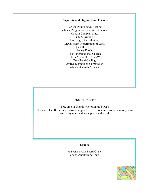#### **Corporate and Organization Friends**

Carlson Plumping & Heating Choice Program of Janesville Schools Coburn Company, Inc. GMA Printing LaGrange General Store McCullough Prescriptions & Gifts Quiet Hut Sports Sentry Foods The Congregational Church Theta Alpha Phi—UW-W Treadhead Cycling United Technology Corporation Whitewater Arts Alliance

#### **"Stuffy Friends"**

These are our friends who bring us STUFF!! Wonderful stuff for our creative energies to use. Too numerous to mention, many are anonymous and we appreciate them all.

#### **Grants**

Wisconsin Arts Board Grant Young Auditorium Grant

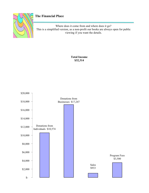

# **The Financial Place**

Where does it come from and where does it go? This is a simplified version, as a non-profit our books are always open for public viewing if you want the details.

> **Total Income \$32,314**

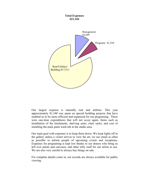#### **Total Expenses \$21,344**



Our largest expense is naturally rent and utilities. This year approximately \$1,340 was spent on special building projects that have enabled us to be more efficient and organized for our programing. These were one-time expenditures that will not occur again. Items such as installation of the kitchenette, shelving units, chair racks, and cost of installing the main paint wash tub in the studio area.

Our main goal with expenses is to keep them down. We keep lights off in the gallery unless a visitor arrives to view the art, we use email as often as possible to inform people of upcoming events and receptions, Expenses for programing is kept low thanks to our donors who bring us left over paints and canvases, and other nifty stuff for our artists to use. We are also very careful to always buy things on sale.

For complete details come in, our records are always available for public viewing.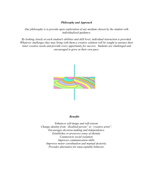#### *Philosophy and Approach*

*Our philosophy is to provide open exploration of any medium chosen by the student with individualized guidance.* 

*By looking closely at each student's abilities and skill level, individual instruction is provided. Whatever challenges they may bring with them a creative solution will be sought to nurture their inner creative needs and provide every opportunity for success. Students are challenged and encouraged to grow at their own pace.* 



#### *Benefits*

*Enhances self-image and self-esteem. Change identity from "disabled person" to "creative artist". Encourages decision-making and independence. Establishes or preserves sense of identity. Counteracts social isolation. Improves communication skills. Improves motor coordination and manual dexterity. Provides alternative for unacceptable behavior.*